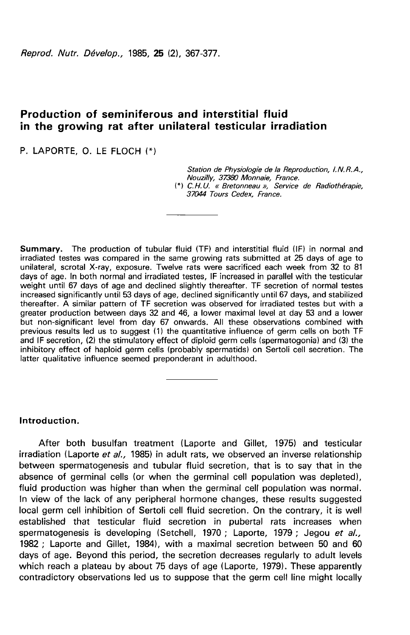Reprod. Nutr. Dévelop., 1985, 25 (2), 367-377.

# Production of seminiferous and interstitial fluid in the growing rat after unilateral testicular irradiation

P. LAPORTE, O. LE FLOCH

Station de Physiologie de la Reproduction, I.N.R.A., Nouzilly, 37380 Monnaie, France.

(\*) C.H.U. « Bretonneau », Service de Radiothérapie, 37044 Tours Cedex, France.

Summary. The production of tubular fluid (TF) and interstitial fluid (IF) in normal and irradiated testes was compared in the same growing rats submitted at 25 days of age to unilateral, scrotal X-ray, exposure. Twelve rats were sacrificed each week from 32 to 81 days of age. In both normal and irradiated testes, IF increased in parallel with the testicular weight until 67 days of age and declined slightly thereafter. TF secretion of normal testes increased significantly until 53 days of age, declined significantly until 67 days, and stabilized thereafter. A similar pattern of TF secretion was observed for irradiated testes but with a greater production between days 32 and 46, a lower maximal level at day 53 and a lower but non-significant level from day 67 onwards. All these observations combined with previous results led us to suggest (1) the quantitative influence of germ cells on both TF and IF secretion, (2) the stimulatory effect of diploid germ cells (spermatogonia) and (3) the inhibitory effect of haploid germ cells (probably spermatids) on Sertoli cell secretion. The latter qualitative influence seemed preponderant in adulthood.

## Introduction.

After both busulfan treatment (Laporte and Gillet, 1975) and testicular irradiation (Laporte et al., 1985) in adult rats, we observed an inverse relationship between spermatogenesis and tubular fluid secretion, that is to say that in the absence of germinal cells (or when the germinal cell population was depleted), fluid production was higher than when the germinal cell population was normal. In view of the lack of any peripheral hormone changes, these results suggested local germ cell inhibition of Sertoli cell fluid secretion. On the contrary, it is well established that testicular fluid secretion in pubertal rats increases when spermatogenesis is developing (Setchell, 1970 ; Laporte, 1979 ; Jegou et al., 1982 ; Laporte and Gillet, 1984), with a maximal secretion between 50 and 60 days of age. Beyond this period, the secretion decreases regularly to adult levels which reach a plateau by about 75 days of age (Laporte, 1979). These apparently contradictory observations led us to suppose that the germ cell line might locally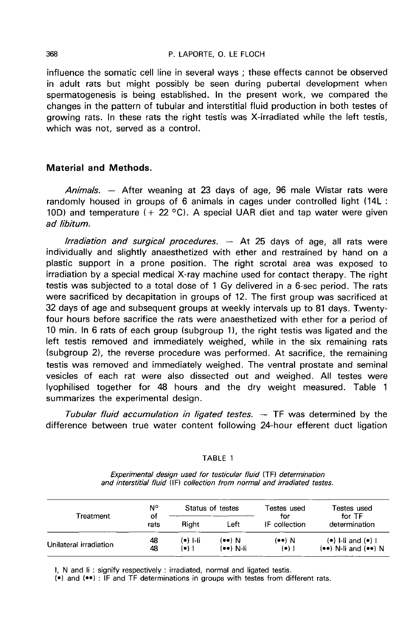influence the somatic cell line in several ways ; these effects cannot be observed in adult rats but might possibly be seen during pubertal development when spermatogenesis is being established. In the present work, we compared the changes in the pattern of tubular and interstitial fluid production in both testes of growing rats. In these rats the right testis was X-irradiated while the left testis, which was not, served as a control.

## Material and Methods.

Animals. - After weaning at 23 days of age, 96 male Wistar rats were randomly housed in groups of 6 animals in cages under controlled light (14L : 10D) and temperature  $(+ 22 \degree C)$ . A special UAR diet and tap water were given ad libitum.

Irradiation and surgical procedures.  $-$  At 25 days of age, all rats were individually and slightly anaesthetized with ether and restrained by hand on a plastic support in a prone position. The right scrotal area was exposed to irradiation by a special medical X-ray machine used for contact therapy. The right testis was subjected to a total dose of 1 Gy delivered in a 6-sec period. The rats were sacrificed by decapitation in groups of 12. The first group was sacrificed at 32 days of age and subsequent groups at weekly intervals up to 81 days. Twentyfour hours before sacrifice the rats were anaesthetized with ether for a period of 10 min. In 6 rats of each group (subgroup 1), the right testis was ligated and the left testis removed and immediately weighed, while in the six remaining rats (subgroup 2), the reverse procedure was performed. At sacrifice, the remaining testis was removed and immediately weighed. The ventral prostate and seminal vesicles of each rat were also dissected out and weighed. All testes were lyophilised together for 48 hours and the dry weight measured. Table 1 summarizes the experimental design.

Tubular fluid accumulation in ligated testes.  $-$  TF was determined by the difference between true water content following 24-hour efferent duct ligation

### TABLE 1

|                        | N°<br>οf<br>rats | Status of testes  |                           | Testes used                      | Testes used                                          |  |
|------------------------|------------------|-------------------|---------------------------|----------------------------------|------------------------------------------------------|--|
| Treatment              |                  | Riaht<br>Left     |                           | for<br>IF collection             | for TF<br>determination                              |  |
| Unilateral irradiation | 48<br>48         | (●) I-li<br>(•) 1 | $($ ••) N<br>$($ ••) N-li | $(\bullet \bullet)$ N<br>$(•)$ 1 | $(•)$ I-li and $(•)$ I<br>$($ ••) N-li and $($ ••) N |  |

Experimental design used for testicular fluid (TF) determination and interstitial fluid (IF) collection from normal and irradiated testes.

I, N and li: signify respectively: irradiated, normal and ligated testis.

(•) and (••) : IF and TF determinations in groups with testes from different rats.

368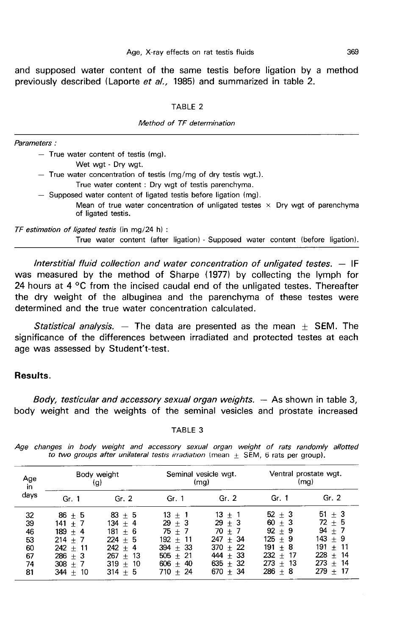and supposed water content of the same testis before ligation by a method previously described (Laporte et al., 1985) and summarized in table 2.

#### TABLE<sub>2</sub>

#### Method of TF determination

| $-$ True water content of testis (mg).                                                                    |
|-----------------------------------------------------------------------------------------------------------|
| Wet wat - Dry wat.                                                                                        |
| $-$ True water concentration of testis (mg/mg of dry testis wgt.).                                        |
| True water content: Dry wgt of testis parenchyma.                                                         |
| - Supposed water content of ligated testis before ligation (mg).                                          |
| Mean of true water concentration of unligated testes $\times$ Dry wgt of parenchyma<br>of ligated testis. |
| TF estimation of ligated testis (in mg/24 h) :                                                            |
| True water content (after ligation) - Supposed water content (before ligation)                            |

Interstitial fluid collection and water concentration of unligated testes.  $-$  IF was measured by the method of Sharpe (1977) by collecting the lymph for 24 hours at 4  $\mathrm{^{\circ}C}$  from the incised caudal end of the unligated testes. Thereafter the dry weight of the albuginea and the parenchyma of these testes were determined and the true water concentration calculated.

Statistical analysis.  $-$  The data are presented as the mean  $\pm$  SEM. The significance of the differences between irradiated and protected testes at each age was assessed by Student't-test.

## Results.

Parameters:

Body, testicular and accessory sexual organ weights.  $-$  As shown in table 3, body weight and the weights of the seminal vesicles and prostate increased

#### TABLE 3

Age changes in body weight and accessory sexual organ weight of rats randomly allotted to two groups after unilateral testis irradiation (mean  $\pm$  SEM, 6 rats per group).

| Age<br>in<br>days                            | Body weight<br>(q)                                                                                    |                                                                                                              | Seminal vesicle wgt.                                                                                   | (mg)                                                                                                       | Ventral prostate wgt.<br>(mq)                                                                               |                                                                                                          |
|----------------------------------------------|-------------------------------------------------------------------------------------------------------|--------------------------------------------------------------------------------------------------------------|--------------------------------------------------------------------------------------------------------|------------------------------------------------------------------------------------------------------------|-------------------------------------------------------------------------------------------------------------|----------------------------------------------------------------------------------------------------------|
|                                              | Gr. 1                                                                                                 | Gr. $2$                                                                                                      | Gr. 1                                                                                                  | Gr. $2$                                                                                                    | Gr. 1                                                                                                       | Gr. 2                                                                                                    |
| 32<br>39<br>46<br>53<br>60<br>67<br>74<br>81 | $86 + 5$<br>$141 + 7$<br>$189 + 4$<br>$214 + 7$<br>$242 + 11$<br>$286 + 3$<br>$308 + 7$<br>$344 + 10$ | $83 \pm 5$<br>134 $\pm$ 4<br>$181 + 6$<br>$224 + 5$<br>$242 + 4$<br>$267 + 13$<br>10<br>$319 +$<br>$314 + 5$ | $13 + 1$<br>$29 + 3$<br>$75 + 7$<br>$192 + 11$<br>$394 + 33$<br>$505 + 21$<br>$606 + 40$<br>$710 + 24$ | $13 + 1$<br>$29 + 3$<br>70 $\pm$ 7<br>$247 + 34$<br>$370 + 22$<br>$444 + 33$<br>$635 + 32$<br>670 $\pm$ 34 | $52 \pm 3$<br>$60 + 3$<br>$92 + 9$<br>$125 + 9$<br>$191 + 8$<br>232<br>$+17$<br>$273 +$<br>-13<br>$286 + 8$ | $51 + 3$<br>$72 \pm 5$<br>$94 + 7$<br>143 + 9<br>$191 + 11$<br>228<br>$+ 14$<br>$273 + 14$<br>$279 + 17$ |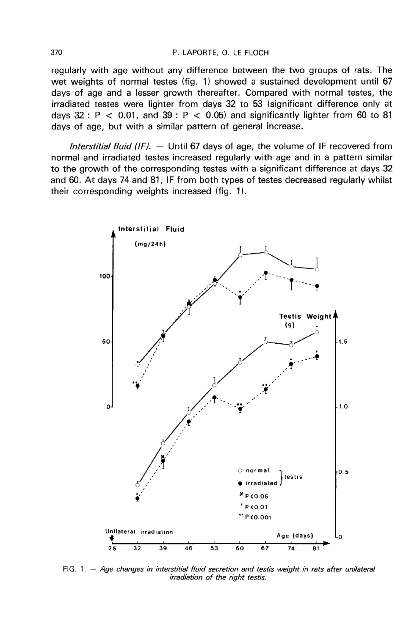#### P. LAPORTE, O. LE FLOCH

regularly with age without any difference between the two groups of rats. The wet weights of normal testes (fig. 1) showed a sustained development until 67 days of age and a lesser growth thereafter. Compared with normal testes, the irradiated testes were lighter from days 32 to 53 (significant difference only at days  $32: P < 0.01$ , and  $39: P < 0.05$ ) and significantly lighter from 60 to 81 days of age, but with a similar pattern of general increase.

Interstitial fluid (IF).  $-$  Until 67 days of age, the volume of IF recovered from normal and irradiated testes increased regularly with age and in a pattern similar to the growth of the corresponding testes with a significant difference at days 32 and 60. At days 74 and 81, IF from both types of testes decreased regularly whilst their corresponding weights increased (fig. 1).



FIG. 1. - Age changes in interstitial fluid secretion and testis weight in rats after unilateral irradiation of the right testis.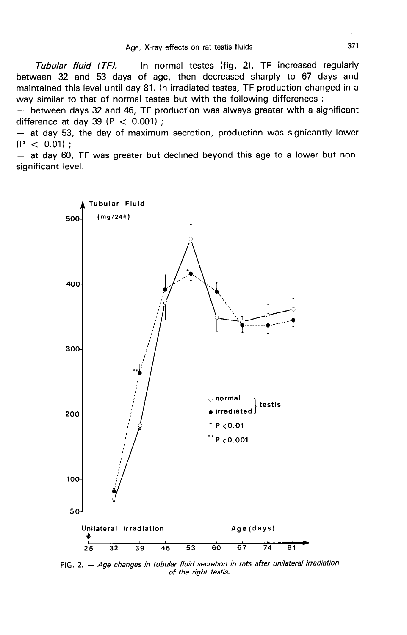Tubular fluid  $(TF)$ . - In normal testes (fig. 2), TF increased regularly between 32 and 53 days of age, then decreased sharply to 67 days and maintained this level until day 81. In irradiated testes, TF production changed in a way similar to that of normal testes but with the following differences :

- between days 32 and 46, TF production was always greater with a significant difference at day 39 (P  $<$  0.001);

- at day 53, the day of maximum secretion, production was signicantly lower  $(P < 0.01)$ :

 $-$  at day 60, TF was greater but declined beyond this age to a lower but nonsignificant level.



FIG. 2. - Age changes in tubular fluid secretion in rats after unilateral irradiation of the right testis.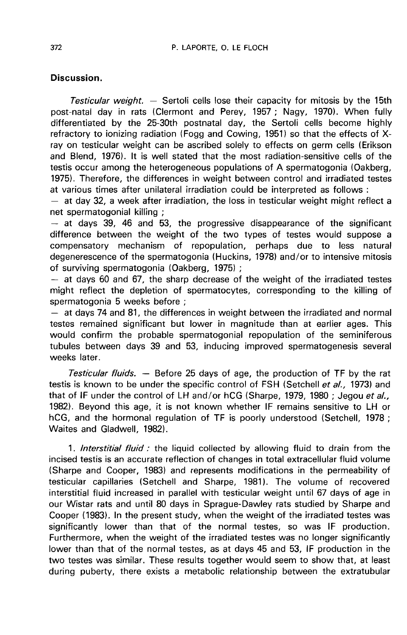## Discussion.

Testicular weight.  $-$  Sertoli cells lose their capacity for mitosis by the 15th post-natal day in rats (Clermont and Perey, 1957 ; Nagy, 1970). When fully differentiated by the 25-30th postnatal day, the Sertoli cells become highly refractory to ionizing radiation (Fogg and Cowing, 1951) so that the effects of Xray on testicular weight can be ascribed solely to effects on germ cells (Erikson and Blend, 1976). It is well stated that the most radiation-sensitive cells of the testis occur among the heterogeneous populations of A spermatogonia (Oakberg, 1975). Therefore, the differences in weight between control and irradiated testes at various times after unilateral irradiation could be interpreted as follows :

 $-$  at day 32, a week after irradiation, the loss in testicular weight might reflect a net spermatogonial killing ;

 $-$  at days 39, 46 and 53, the progressive disappearance of the significant difference between the weight of the two types of testes would suppose a compensatory mechanism of repopulation, perhaps due to less natural degenerescence of the spermatogonia (Huckins, 1978) and/or to intensive mitosis<br>of surviving spermatogonia (Oakberg, 1975) ;

 $-$  at days 60 and 67, the sharp decrease of the weight of the irradiated testes might reflect the depletion of spermatocytes, corresponding to the killing of spermatogonia 5 weeks before ;

 $-$  at days 74 and 81, the differences in weight between the irradiated and normal testes remained significant but lower in magnitude than at earlier ages. This would confirm the probable spermatogonial repopulation of the seminiferous tubules between days 39 and 53, inducing improved spermatogenesis several weeks later.

Testicular fluids.  $-$  Before 25 days of age, the production of TF by the rat testis is known to be under the specific control of FSH (Setchell et al., 1973) and that of IF under the control of LH and/or hCG (Sharpe, 1979, 1980 ; Jegou et al., 1982). Beyond this age, it is not known whether IF remains sensitive to LH or hCG, and the hormonal regulation of TF is poorly understood (Setchell, 1978 ; Waites and Gladwell, 1982).

1. Interstitial fluid : the liquid collected by allowing fluid to drain from the incised testis is an accurate reflection of changes in total extracellular fluid volume (Sharpe and Cooper, 1983) and represents modifications in the permeability of testicular capillaries (Setchell and Sharpe, 1981). The volume of recovered interstitial fluid increased in parallel with testicular weight until 67 days of age in our Wistar rats and until 80 days in Sprague-Dawley rats studied by Sharpe and Cooper (1983). In the present study, when the weight of the irradiated testes was significantly lower than that of the normal testes, so was IF production. Furthermore, when the weight of the irradiated testes was no longer significantly lower than that of the normal testes, as at days 45 and 53, IF production in the two testes was similar. These results together would seem to show that, at least during puberty, there exists a metabolic relationship between the extratubular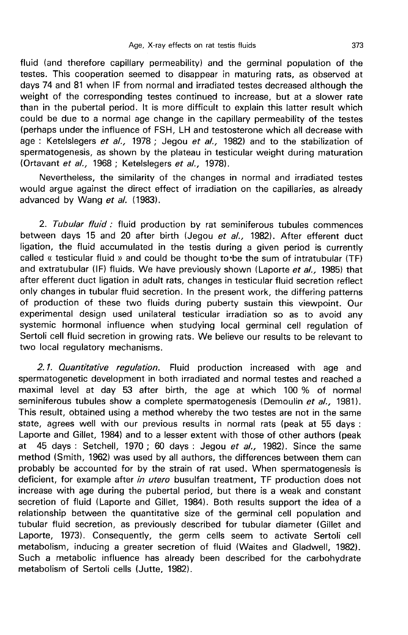fluid (and therefore capillary permeability) and the germinal population of the testes. This cooperation seemed to disappear in maturing rats, as observed at days 74 and 81 when IF from normal and irradiated testes decreased although the weight of the corresponding testes continued to increase, but at a slower rate than in the pubertal period. It is more difficult to explain this latter result which could be due to a normal age change in the capillary permeability of the testes (perhaps under the influence of FSH, LH and testosterone which all decrease with age : Ketelslegers et al., 1978 ; Jegou et al., 1982) and to the stabilization of spermatogenesis, as shown by the plateau in testicular weight during maturation (Ortavant et al., 1968 ; Ketelslegers et al., 1978).

Nevertheless, the similarity of the changes in normal and irradiated testes would argue against the direct effect of irradiation on the capillaries, as already advanced by Wang et al. (1983).

2. Tubular fluid : fluid production by rat seminiferous tubules commences between days 15 and 20 after birth (Jegou et al., 1982). After efferent duct ligation, the fluid accumulated in the testis during a given period is currently called « testicular fluid » and could be thought to-be the sum of intratubular (TF) and extratubular (IF) fluids. We have previously shown (Laporte et al., 1985) that after efferent duct ligation in adult rats, changes in testicular fluid secretion reflect only changes in tubular fluid secretion. In the present work, the differing patterns of production of these two fluids during puberty sustain this viewpoint. Our experimental design used unilateral testicular irradiation so as to avoid any systemic hormonal influence when studying local germinal cell regulation of Sertoli cell fluid secretion in growing rats. We believe our results to be relevant to two local regulatory mechanisms.

2.1. Quantitative regulation. Fluid production increased with age and spermatogenetic development in both irradiated and normal testes and reached a maximal level at day 53 after birth, the age at which 100 % of normal seminiferous tubules show a complete spermatogenesis (Demoulin et al., 1981). This result, obtained using a method whereby the two testes are not in the same state, agrees well with our previous results in normal rats (peak at 55 days : Laporte and Gillet, 1984) and to a lesser extent with those of other authors (peak at 45 days : Setchell, 1970 ; 60 days : Jegou et  $al.$ , 1982). Since the same method (Smith, 1962) was used by all authors, the differences between them can probably be accounted for by the strain of rat used. When spermatogenesis is deficient, for example after in utero busulfan treatment, TF production does not increase with age during the pubertal period, but there is a weak and constant secretion of fluid (Laporte and Gillet, 1984). Both results support the idea of a relationship between the quantitative size of the germinal cell population and tubular fluid secretion, as previously described for tubular diameter (Gillet and Laporte, 1973). Consequently, the germ cells seem to activate Sertoli cell metabolism, inducing a greater secretion of fluid (Waites and Gladwell, 1982). Such a metabolic influence has already been described for the carbohydrate metabolism of Sertoli cells (Jutte, 1982).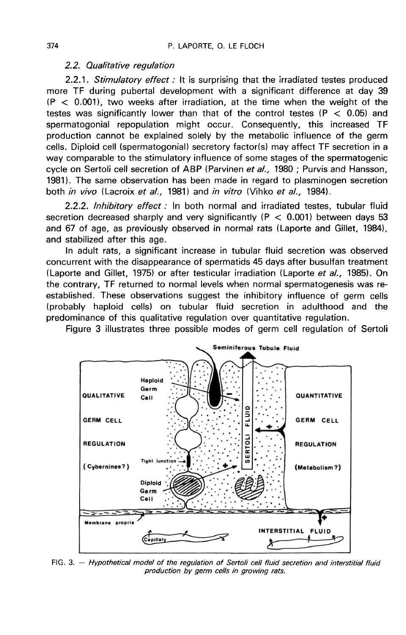### 2.2. Qualitative regulation

2.2.1. Stimulatory effect : It is surprising that the irradiated testes produced more TF during pubertal development with a significant difference at day 39  $(P < 0.001)$ , two weeks after irradiation, at the time when the weight of the testes was significantly lower than that of the control testes ( $P < 0.05$ ) and spermatogonial repopulation might occur. Consequently, this increased TF production cannot be explained solely by the metabolic influence of the germ cells. Diploid cell (spermatogonial) secretory factor(s) may affect TF secretion in a way comparable to the stimulatory influence of some stages of the spermatogenic cycle on Sertoli cell secretion of ABP (Parvinen et al., 1980 ; Purvis and Hansson, 1981). The same observation has been made in regard to plasminogen secretion both *in vivo* (Lacroix et al., 1981) and *in vitro* (Vihko et al., 1984).

2.2.2. Inhibitory effect : In both normal and irradiated testes, tubular fluid secretion decreased sharply and very significantly ( $P < 0.001$ ) between days 53 and 67 of age, as previously observed in normal rats (Laporte and Gillet, 1984), and stabilized after this age.

In adult rats, a significant increase in tubular fluid secretion was observed concurrent with the disappearance of spermatids 45 days after busulfan treatment (Laporte and Gillet, 1975) or after testicular irradiation (Laporte et al., 1985). On the contrary, TF returned to normal levels when normal spermatogenesis was reestablished. These observations suggest the inhibitory influence of germ cells (probably haploid cells) on tubular fluid secretion in adulthood and the predominance of this qualitative regulation over quantitative regulation.

Figure 3 illustrates three possible modes of germ cell regulation of Sertoli



FIG. 3. - Hypothetical model of the regulation of Sertoli cell fluid secretion and interstitial fluid production by germ cells in growing rats.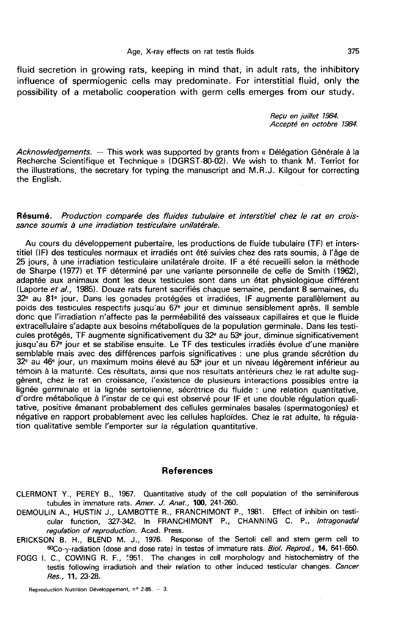fluid secretion in growing rats, keeping in mind that, in adult rats, the inhibitory influence of spermiogenic cells may predominate. For interstitial fluid, only the possibility of a metabolic cooperation with germ cells emerges from our study.

Reçu en juillet 1984.<br>Accepté en octobre 1984.

Acknowledgements.  $-$  This work was supported by grants from « Délégation Générale à la Recherche Scientifique et Technique » (DGRST-80-02). We wish to thank M. Terriot for the illustrations, the secretary for typing the manuscript and M.R.J. Kilgour for correcting the English.

### Résumé. Production comparée des fluides tubulaire et interstitiel chez le rat en croissance soumis à une irradiation testiculaire unilatérale.

Au cours du développement pubertaire, les productions de fluide tubulaire (TF) et interstitiel (IF) des testicules normaux et irradiés ont été suivies chez des rats soumis, à l'âge de 25 jours, à une irradiation testiculaire unilatérale droite. IF a été recueilli selon la méthode de Sharpe (1977) et TF déterminé par une variante personnelle de celle de Smith (1962), adaptée aux animaux dont les deux testicules sont dans un état physiologique différent (Laporte et al., 1985). Douze rats furent sacrifiés chaque semaine, pendant 8 semaines, du 32<sup>e</sup> au 81<sup>e</sup> jour. Dans les gonades protégées et irradiées, IF augmente parallèlement au poids des testicules respectifs jusqu'au 67e jour et diminue sensiblement après. Il semble donc que l'irradiation n'affecte pas la perméabilité des vaisseaux capillaires et que le fluide extracellulaire s'adapte aux besoins métaboliques de la population germinale. Dans les testicules protégés, TF augmente significativement du 32e au 53e jour, diminue significativement jusqu'au 67e jour et se stabilise ensuite. Le TF des testicules irradiés évolue d'une manière semblable mais avec des différences parfois significatives : une plus grande sécrétion du 32e au 46e jour, un maximum moins élevé au 53e jour et un niveau légèrement inférieur au témoin à la maturité. Ces résultats, ainsi que nos résultats antérieurs chez le rat adulte suggèrent, chez le rat en croissance, l'existence de plusieurs interactions possibles entre la lignée germinale et la lignée sertolienne, sécrétrice du fluide : une relation quantitative, d'ordre métabolique à l'instar de ce qui est observé pour IF et une double régulation qualitative, positive émanant probablement des cellules germinales basales (spermatogonies) et négative en rapport probablement avec les cellules haploïdes. Chez le rat adulte, la régula tion qualitative semble l'emporter sur la régulation quantitative.

## References

CLERMONT Y., PEREY B., 1957. Quantitative study of the cell population of the seminiferous tubules in immature rats. Amer. J. Anat., 100, 241-260.

- DEMOULIN A., HUSTIN J., LAMBOTTE R., FRANCHIMONT P., 1981. Effect of inhibin on testicular function, 327-342. In FRANCHIMONT P., CHANNING C. P., Intragonadal regulation of reproduction. Acad. Press.
- ERICKSON B. H., BLEND M. J., 1976. Response of the Sertoli cell and stem germ cell to 60Co-y-radiation (dose and dose rate) in testes of immature rats. Biol. Reprod., 14, 641-650.
- FOGG I. C., COWING R. F., 1951. The changes in cell morphology and histochemistry of the testis following irradiation and their relation to other induced testicular changes. Cancer Res., 11, 23-28.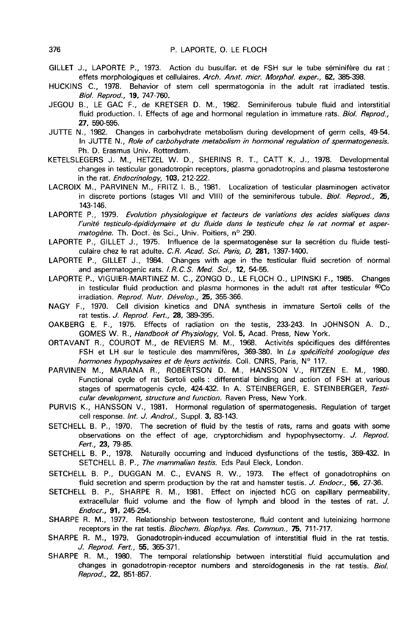- GILLET J., LAPORTE P., 1973. Action du busulfar et de FSH sur le tube séminifère du rat :<br>effets morphologiques et cellulaires. Arch. Anat. micr. Morphol. exper., **62**, 385-398.<br>HUCKINS C. 1978. Behavior of stem cell sperm
- HUCKINS C., 1978. Behavior of stem cell spermatogonia in the adult rat irradiated testis. Bio/. Reprod., 19, 747-760.
- JEGOU B., LE GAC F., de KRETSER D. M., 1982. Seminiferous tubule fluid and interstitial fluid production. I. Effects of age and hormonal regulation in immature rats. Biol. Reprod., 27, 590-595.
- JUTTE N., 1982. Changes in carbohydrate metabolism during development of germ cells, 49-54. In JUTTE N., Role of carbohydrate metabolism in hormonal regulation of spermatogenesis. Ph. D. Erasmus Univ. Rotterdam.
- KETELSLEGERS J. M., HETZEL W. D., SHERINS R. T., CATT K. J., 1978. Developmental changes in testicular gonadotropin receptors, plasma gonadotropins and plasma testosterone in the rat. *Endocrinology*, 103, 212-222.
- LACROIX M., PARVINEN M., FRITZ I. B., 1981. Localization of testicular plasminogen activator in discrete portions (stages VII and VIII) of the seminiferous tubule. Biol. Reprod.,  $25$ , 143-146.
- LAPORTE P., 1979. Evolution physiologique et facteurs de variations des acides sialiques dans l'unité testiculo-épididymaire et du fluide dans le testicule chez le rat normal et aspermatogène. Th. Doct. ès Sci., Univ. Poitiers, nº 290.
- LAPORTE P., GILLET J., 1975. Influence de la spermatogenèse sur la secrétion du fluide testiculaire chez le rat adulte. C.R. Acad. Sci. Paris, D, 281, 1397-1400.
- LAPORTE P., GILLET J., 1984. Changes with age in the testicular fluid secretion of normal and aspermatogenic rats. I.R.C.S. Med. Sci., 12, 54-55.
- LAPORTE P., VIGUIER-MARTINEZ M. C., ZONGO D., LE FLOCH 0., LIPINSKI F., 1985. Changes in testicular fluid production and plasma hormones in the adult rat after testicular  $60Co$ irradiation. Reprod. Nutr. Dévelop., 25, 355-366.
- NAGY F., 1970. Cell division kinetics and DNA synthesis in immature Sertoli cells of the rat testis. J. Reprod. Fert., 28, 389-395.
- OAKBERG E. F., 1975. Effects of radiation on the testis, 233-243. In JOHNSON A. D., GOMES W. R., Handbook of Physiology, Vol. 5, Acad. Press, New York.
- ORTAVANT R., COUROT M., de REVIERS M. M., 1968. Activités spécifiques des différentes FSH et LH sur le testicule des mammifères, 369-380. In La spécificité zoologique des hormones hypophysaires et de leurs activités. Coll. CNRS, Paris, Nº 117.
- PARVINEN M., MARANA R., ROBERTSON D. M., HANSSON V., RITZEN E. M., 1980. Functional cycle of rat Sertoli cells : differential binding and action of FSH at various stages of spermatogenis cycle, 424-432. In A. STEINBERGER, E. STEINBERGER, Testicular development, structure and function. Raven Press, New York.
- PURVIS K., HANSSON V., 1981. Hormonal regulation of spermatogenesis. Regulation of target cell response. Int. J. Androl., Suppl. 3, 83-143.
- SETCHELL B. P., 1970. The secretion of fluid by the testis of rats, rams and goats with some observations on the effect of age, cryptorchidism and hypophysectomy. J. Reprod. Fert., 23, 79-85.
- SETCHELL B. P., 1978. Naturally occurring and induced dysfunctions of the testis, 359-432. In SETCHELL B. P., The mammalian testis. Eds Paul Eleck, London.
- SETCHELL B. P., DUGGAN M. C., EVANS R. W., 1973. The effect of gonadotrophins on fluid secretion and sperm production by the rat and hamster testis. J. Endocr., 56, 27-36.
- SETCHELL B. P., SHARPE R. M., 1981. Effect on injected hCG on capillary permeability, extracellular fluid volume and the flow of lymph and blood in the testes of rat. J. Endocr., 91, 245-254.
- SHARPE R. M., 1977. Relationship between testosterone, fluid content and luteinizing hormone receptors in the rat testis. Biochem. Biophys. Res. Commun., 75, 711-717.
- SHARPE R. M., 1979. Gonadotropin-induced accumulation of interstitial fluid in the rat testis. J. Reprod. Fert., 55, 365-371.
- SHARPE R. M., 1980. The temporal relationship between interstitial fluid accumulation and changes in gonadotropin-receptor numbers and steroidogenesis in the rat testis. Biol. Reprod., 22, 851-857.